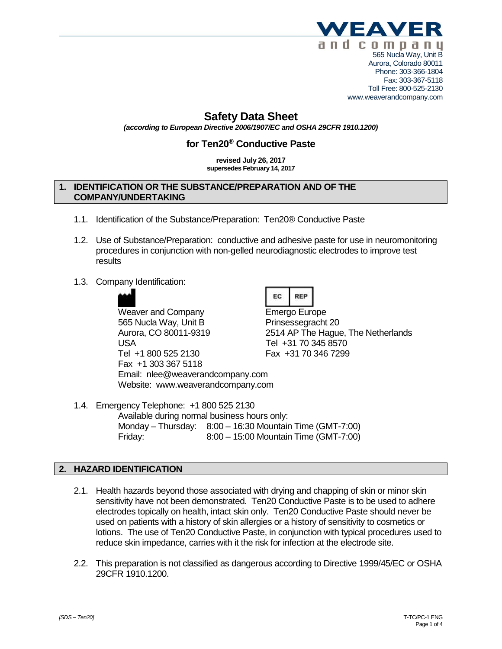

Phone: 303-366-1804 Fax: 303-367-5118 Toll Free: 800-525-2130 www.weaverandcompany.com

# **Safety Data Sheet**

*(according to European Directive 2006/1907/EC and OSHA 29CFR 1910.1200)*

## **for Ten20® Conductive Paste**

#### **revised July 26, 2017 supersedes February 14, 2017**

### **1. IDENTIFICATION OR THE SUBSTANCE/PREPARATION AND OF THE COMPANY/UNDERTAKING**

- 1.1. Identification of the Substance/Preparation: Ten20® Conductive Paste
- 1.2. Use of Substance/Preparation: conductive and adhesive paste for use in neuromonitoring procedures in conjunction with non-gelled neurodiagnostic electrodes to improve test results
- 1.3. Company Identification:



Weaver and Company **Emergo Europe** 565 Nucla Way, Unit B Prinsessegracht 20 USA Tel +31 70 345 8570 Tel +1 800 525 2130 Fax +31 70 346 7299 Fax +1 303 367 5118 Email: nlee@weaverandcompany.com Website: www.weaverandcompany.com

|--|--|

Aurora, CO 80011-9319 2514 AP The Hague, The Netherlands

1.4. Emergency Telephone: +1 800 525 2130 Available during normal business hours only: Monday – Thursday: 8:00 – 16:30 Mountain Time (GMT-7:00) Friday: 8:00 – 15:00 Mountain Time (GMT-7:00)

### **2. HAZARD IDENTIFICATION**

- 2.1. Health hazards beyond those associated with drying and chapping of skin or minor skin sensitivity have not been demonstrated. Ten20 Conductive Paste is to be used to adhere electrodes topically on health, intact skin only. Ten20 Conductive Paste should never be used on patients with a history of skin allergies or a history of sensitivity to cosmetics or lotions. The use of Ten20 Conductive Paste, in conjunction with typical procedures used to reduce skin impedance, carries with it the risk for infection at the electrode site.
- 2.2. This preparation is not classified as dangerous according to Directive 1999/45/EC or OSHA 29CFR 1910.1200.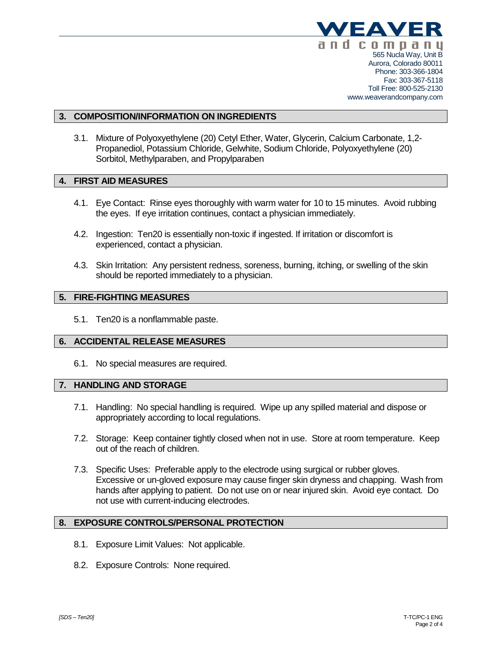

### **3. COMPOSITION/INFORMATION ON INGREDIENTS**

3.1. Mixture of Polyoxyethylene (20) Cetyl Ether, Water, Glycerin, Calcium Carbonate, 1,2- Propanediol, Potassium Chloride, Gelwhite, Sodium Chloride, Polyoxyethylene (20) Sorbitol, Methylparaben, and Propylparaben

### **4. FIRST AID MEASURES**

- 4.1. Eye Contact: Rinse eyes thoroughly with warm water for 10 to 15 minutes. Avoid rubbing the eyes. If eye irritation continues, contact a physician immediately.
- 4.2. Ingestion: Ten20 is essentially non-toxic if ingested. If irritation or discomfort is experienced, contact a physician.
- 4.3. Skin Irritation: Any persistent redness, soreness, burning, itching, or swelling of the skin should be reported immediately to a physician.

### **5. FIRE-FIGHTING MEASURES**

5.1. Ten20 is a nonflammable paste.

#### **6. ACCIDENTAL RELEASE MEASURES**

6.1. No special measures are required.

#### **7. HANDLING AND STORAGE**

- 7.1. Handling: No special handling is required. Wipe up any spilled material and dispose or appropriately according to local regulations.
- 7.2. Storage: Keep container tightly closed when not in use. Store at room temperature. Keep out of the reach of children.
- 7.3. Specific Uses: Preferable apply to the electrode using surgical or rubber gloves. Excessive or un-gloved exposure may cause finger skin dryness and chapping. Wash from hands after applying to patient. Do not use on or near injured skin. Avoid eye contact. Do not use with current-inducing electrodes.

### **8. EXPOSURE CONTROLS/PERSONAL PROTECTION**

- 8.1. Exposure Limit Values: Not applicable.
- 8.2. Exposure Controls: None required.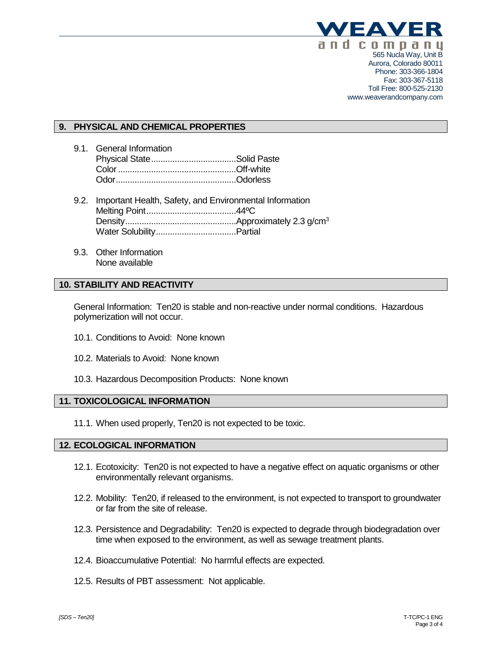

#### Phone: 303-366-1804 Fax: 303-367-5118 Toll Free: 800-525-2130 www.weaverandcompany.com

### **9. PHYSICAL AND CHEMICAL PROPERTIES**

- 9.1. General Information Physical State....................................Solid Paste Color..................................................Off-white Odor...................................................Odorless
- 9.2. Important Health, Safety, and Environmental Information Melting Point......................................44ºC Density...............................................Approximately 2.3 g/cm<sup>3</sup> Water Solubility..................................Partial
- 9.3. Other Information None available

### **10. STABILITY AND REACTIVITY**

General Information: Ten20 is stable and non-reactive under normal conditions. Hazardous polymerization will not occur.

- 10.1. Conditions to Avoid: None known
- 10.2. Materials to Avoid: None known
- 10.3. Hazardous Decomposition Products: None known

### **11. TOXICOLOGICAL INFORMATION**

11.1. When used properly, Ten20 is not expected to be toxic.

### **12. ECOLOGICAL INFORMATION**

- 12.1. Ecotoxicity: Ten20 is not expected to have a negative effect on aquatic organisms or other environmentally relevant organisms.
- 12.2. Mobility: Ten20, if released to the environment, is not expected to transport to groundwater or far from the site of release.
- 12.3. Persistence and Degradability: Ten20 is expected to degrade through biodegradation over time when exposed to the environment, as well as sewage treatment plants.
- 12.4. Bioaccumulative Potential: No harmful effects are expected.
- 12.5. Results of PBT assessment: Not applicable.